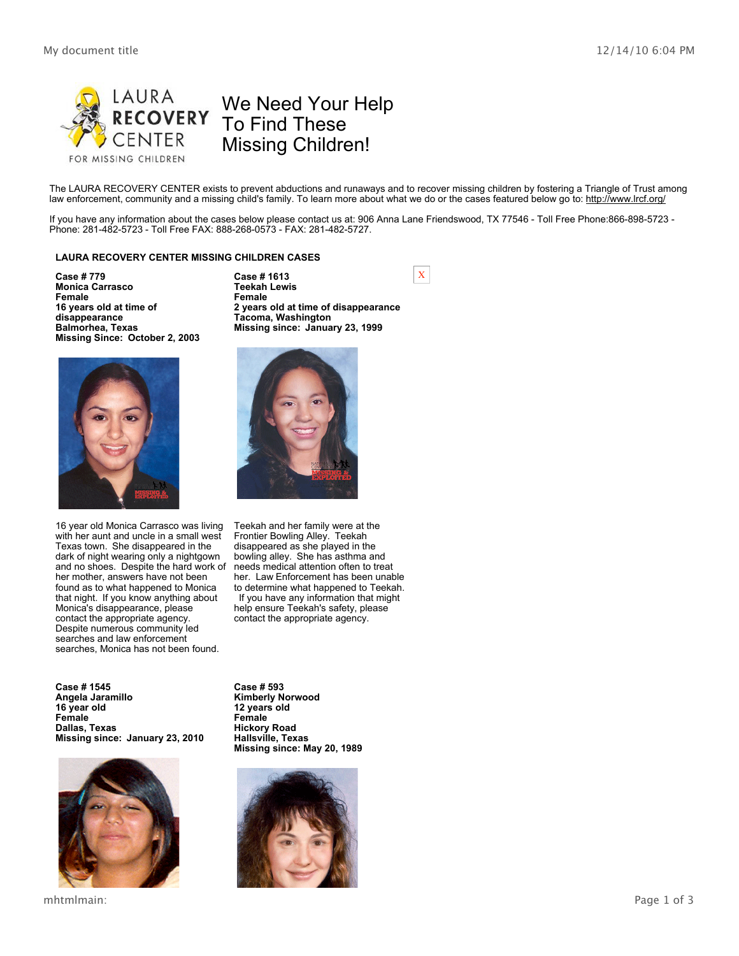

The LAURA RECOVERY CENTER exists to prevent abductions and runaways and to recover missing children by fostering a Triangle of Trust among law enforcement, community and a missing child's family. To learn more about what we do or the cases featured below go to: http://www.lrcf.org/

If you have any information about the cases below please contact us at: 906 Anna Lane Friendswood, TX 77546 - Toll Free Phone:866-898-5723 - Phone: 281-482-5723 - Toll Free FAX: 888-268-0573 - FAX: 281-482-5727.

### **LAURA RECOVERY CENTER MISSING CHILDREN CASES**

**Case # 779 Monica Carrasco Female 16 years old at time of disappearance Balmorhea, Texas Missing Since: October 2, 2003**

**Tacoma, Washington**

**2 years old at time of disappearance**

**Missing since: January 23, 1999**

**Case # 1613 Teekah Lewis Female**

16 year old Monica Carrasco was living with her aunt and uncle in a small west Texas town. She disappeared in the dark of night wearing only a nightgown and no shoes. Despite the hard work of her mother, answers have not been found as to what happened to Monica that night. If you know anything about Monica's disappearance, please contact the appropriate agency. Despite numerous community led searches and law enforcement searches, Monica has not been found.

**Case # 1545 Angela Jaramillo 16 year old Female Dallas, Texas Missing since: January 23, 2010**



mhtmlmain: Page 1 of 3

Teekah and her family were at the Frontier Bowling Alley. Teekah disappeared as she played in the bowling alley. She has asthma and needs medical attention often to treat her. Law Enforcement has been unable to determine what happened to Teekah. If you have any information that might help ensure Teekah's safety, please contact the appropriate agency.

**Case # 593 Kimberly Norwood 12 years old Female Hickory Road Hallsville, Texas Missing since: May 20, 1989**



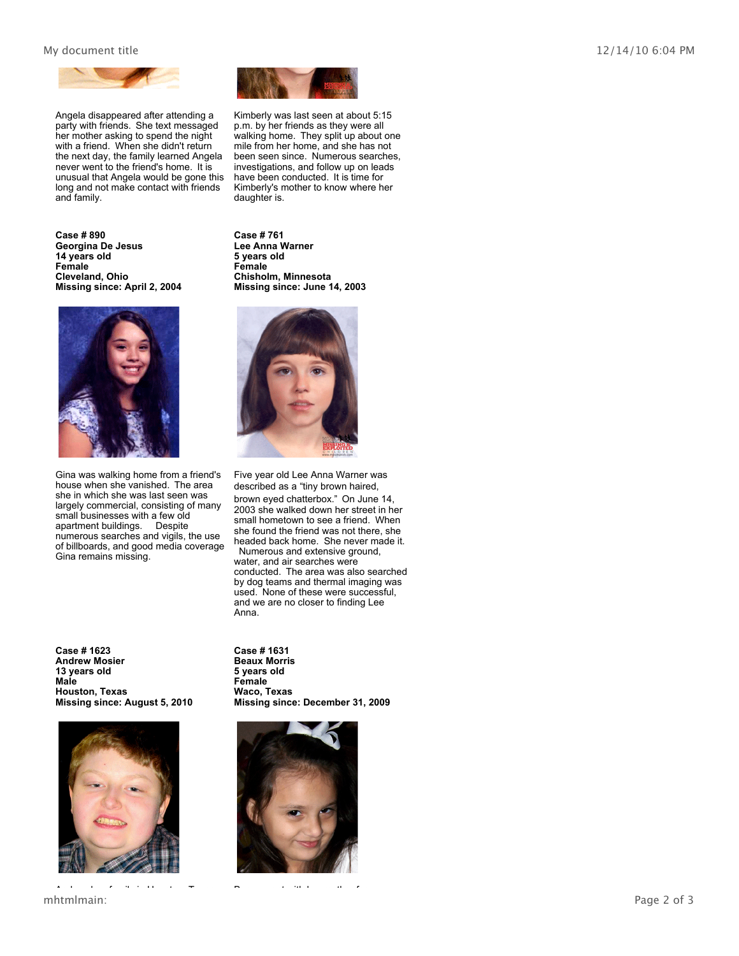## My document title  $12/14/10\,6:04\,$  PM



Angela disappeared after attending a party with friends. She text messaged her mother asking to spend the night with a friend. When she didn't return the next day, the family learned Angela never went to the friend's home. It is unusual that Angela would be gone this long and not make contact with friends and family.

**Case # 890 Georgina De Jesus 14 years old Female Cleveland, Ohio Missing since: April 2, 2004**



Gina was walking home from a friend's house when she vanished. The area she in which she was last seen was largely commercial, consisting of many small businesses with a few old apartment buildings. Despite numerous searches and vigils, the use of billboards, and good media coverage Gina remains missing.

**Case # 1623 Andrew Mosier 13 years old Male Houston, Texas Missing since: August 5, 2010**



mhtmlmain: Page 2 of 3 Andrew has family in Houston, Texas Beaux went with her mother for



Kimberly was last seen at about 5:15 p.m. by her friends as they were all walking home. They split up about one mile from her home, and she has not been seen since. Numerous searches, investigations, and follow up on leads have been conducted. It is time for Kimberly's mother to know where her daughter is.

**Case # 761 Lee Anna Warner 5 years old Female Chisholm, Minnesota Missing since: June 14, 2003**



Five year old Lee Anna Warner was described as a "tiny brown haired, brown eyed chatterbox." On June 14, 2003 she walked down her street in her small hometown to see a friend. When she found the friend was not there, she headed back home. She never made it. Numerous and extensive ground, water, and air searches were conducted. The area was also searched by dog teams and thermal imaging was used. None of these were successful, and we are no closer to finding Lee Anna.

**Case # 1631 Beaux Morris 5 years old Female Waco, Texas Missing since: December 31, 2009**